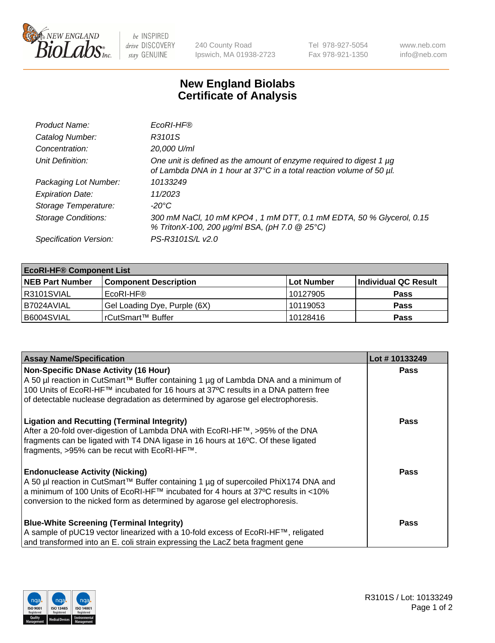

 $be$  INSPIRED drive DISCOVERY stay GENUINE

240 County Road Ipswich, MA 01938-2723 Tel 978-927-5054 Fax 978-921-1350 www.neb.com info@neb.com

## **New England Biolabs Certificate of Analysis**

| Product Name:              | EcoRI-HF®                                                                                                                                   |
|----------------------------|---------------------------------------------------------------------------------------------------------------------------------------------|
| Catalog Number:            | R3101S                                                                                                                                      |
| Concentration:             | 20,000 U/ml                                                                                                                                 |
| Unit Definition:           | One unit is defined as the amount of enzyme required to digest 1 µg<br>of Lambda DNA in 1 hour at 37°C in a total reaction volume of 50 µl. |
| Packaging Lot Number:      | 10133249                                                                                                                                    |
| <b>Expiration Date:</b>    | 11/2023                                                                                                                                     |
| Storage Temperature:       | -20°C                                                                                                                                       |
| <b>Storage Conditions:</b> | 300 mM NaCl, 10 mM KPO4, 1 mM DTT, 0.1 mM EDTA, 50 % Glycerol, 0.15<br>% TritonX-100, 200 µg/ml BSA, (pH 7.0 @ 25°C)                        |
| Specification Version:     | PS-R3101S/L v2.0                                                                                                                            |

| <b>EcoRI-HF® Component List</b> |                              |            |                      |  |  |
|---------------------------------|------------------------------|------------|----------------------|--|--|
| <b>NEB Part Number</b>          | <b>Component Description</b> | Lot Number | Individual QC Result |  |  |
| R3101SVIAL                      | EcoRI-HF®                    | 10127905   | <b>Pass</b>          |  |  |
| B7024AVIAL                      | Gel Loading Dye, Purple (6X) | 10119053   | <b>Pass</b>          |  |  |
| B6004SVIAL                      | l rCutSmart™ Buffer          | 10128416   | <b>Pass</b>          |  |  |

| <b>Assay Name/Specification</b>                                                     | Lot #10133249 |
|-------------------------------------------------------------------------------------|---------------|
| <b>Non-Specific DNase Activity (16 Hour)</b>                                        | <b>Pass</b>   |
| A 50 µl reaction in CutSmart™ Buffer containing 1 µg of Lambda DNA and a minimum of |               |
| 100 Units of EcoRI-HF™ incubated for 16 hours at 37°C results in a DNA pattern free |               |
| of detectable nuclease degradation as determined by agarose gel electrophoresis.    |               |
| <b>Ligation and Recutting (Terminal Integrity)</b>                                  | Pass          |
| After a 20-fold over-digestion of Lambda DNA with EcoRI-HF™, >95% of the DNA        |               |
| fragments can be ligated with T4 DNA ligase in 16 hours at 16°C. Of these ligated   |               |
| fragments, >95% can be recut with EcoRI-HF™.                                        |               |
| <b>Endonuclease Activity (Nicking)</b>                                              | Pass          |
| A 50 µl reaction in CutSmart™ Buffer containing 1 µg of supercoiled PhiX174 DNA and |               |
| a minimum of 100 Units of EcoRI-HF™ incubated for 4 hours at 37°C results in <10%   |               |
| conversion to the nicked form as determined by agarose gel electrophoresis.         |               |
| <b>Blue-White Screening (Terminal Integrity)</b>                                    | <b>Pass</b>   |
| A sample of pUC19 vector linearized with a 10-fold excess of EcoRI-HF™, religated   |               |
| and transformed into an E. coli strain expressing the LacZ beta fragment gene       |               |